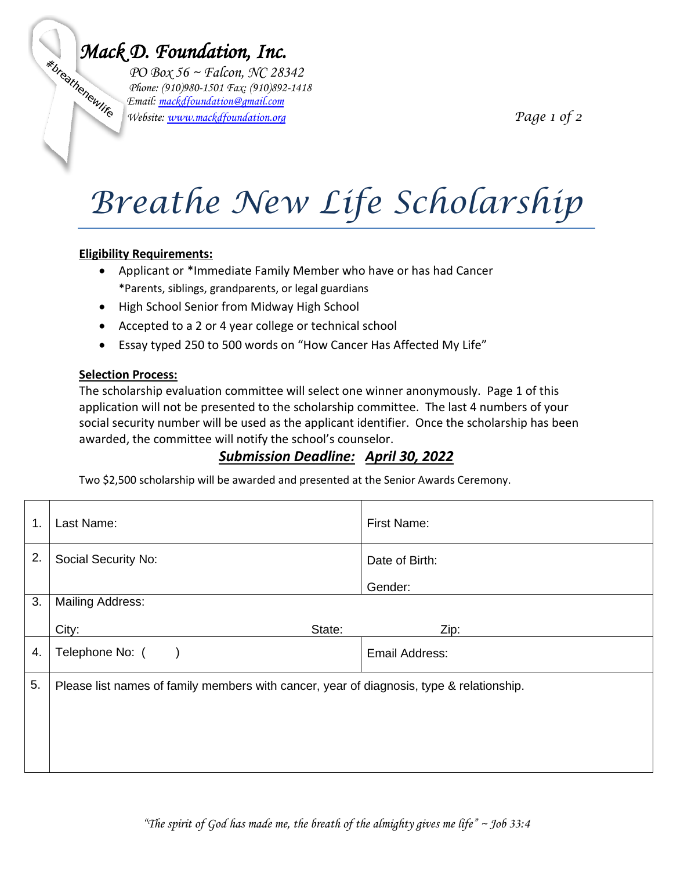**Mack D. Foundation, Inc.**<br> *PO Box 56 ~ Falcon, NC 28.*<br> *Phone:* (910)980-1501 Fax: (910)892<br> *Afoundation@gmail.com PO Box 56 ~ Falcon, NC 28342 Phone: (910)980-1501 Fax: (910)892-1418 Email: [mackdfoundation@gmail.com](mailto:mackdfoundation@gmail.com) Website: [www.mackdfoundation.org](http://www.mackdfoundation.org/) Page 1 of 2*

# *Breathe New Life Scholarship*

#### **Eligibility Requirements:**

- Applicant or \*Immediate Family Member who have or has had Cancer \*Parents, siblings, grandparents, or legal guardians
- High School Senior from Midway High School
- Accepted to a 2 or 4 year college or technical school
- Essay typed 250 to 500 words on "How Cancer Has Affected My Life"

### **Selection Process:**

The scholarship evaluation committee will select one winner anonymously. Page 1 of this application will not be presented to the scholarship committee. The last 4 numbers of your social security number will be used as the applicant identifier. Once the scholarship has been awarded, the committee will notify the school's counselor.

## *Submission Deadline: April 30, 2022*

Two \$2,500 scholarship will be awarded and presented at the Senior Awards Ceremony.

| $\mathbf{1}$ . | Last Name:                                                                               | First Name:    |
|----------------|------------------------------------------------------------------------------------------|----------------|
| 2.             | Social Security No:                                                                      | Date of Birth: |
|                |                                                                                          | Gender:        |
| 3.             | <b>Mailing Address:</b>                                                                  |                |
|                | City:<br>State:                                                                          | Zip:           |
| 4.             | Telephone No: (                                                                          | Email Address: |
| 5.             | Please list names of family members with cancer, year of diagnosis, type & relationship. |                |